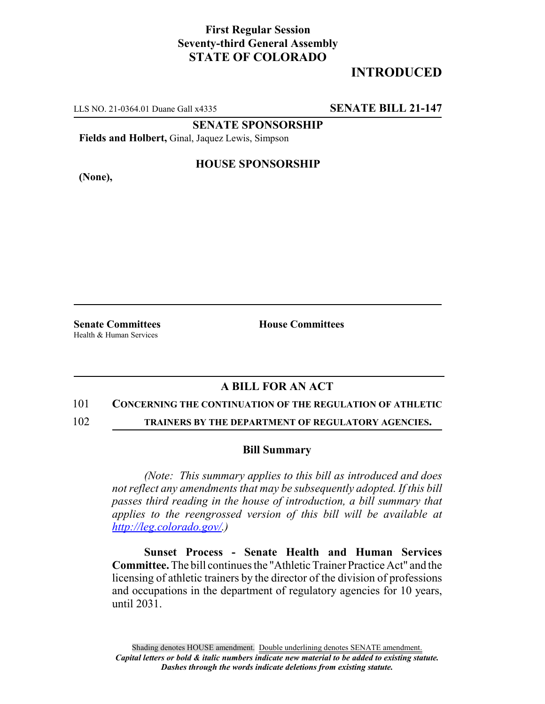## **First Regular Session Seventy-third General Assembly STATE OF COLORADO**

# **INTRODUCED**

LLS NO. 21-0364.01 Duane Gall x4335 **SENATE BILL 21-147**

**SENATE SPONSORSHIP**

**Fields and Holbert,** Ginal, Jaquez Lewis, Simpson

**(None),**

### **HOUSE SPONSORSHIP**

Health & Human Services

**Senate Committees House Committees** 

## **A BILL FOR AN ACT**

#### 101 **CONCERNING THE CONTINUATION OF THE REGULATION OF ATHLETIC**

102 **TRAINERS BY THE DEPARTMENT OF REGULATORY AGENCIES.**

#### **Bill Summary**

*(Note: This summary applies to this bill as introduced and does not reflect any amendments that may be subsequently adopted. If this bill passes third reading in the house of introduction, a bill summary that applies to the reengrossed version of this bill will be available at http://leg.colorado.gov/.)*

**Sunset Process - Senate Health and Human Services Committee.** The bill continues the "Athletic Trainer Practice Act" and the licensing of athletic trainers by the director of the division of professions and occupations in the department of regulatory agencies for 10 years, until 2031.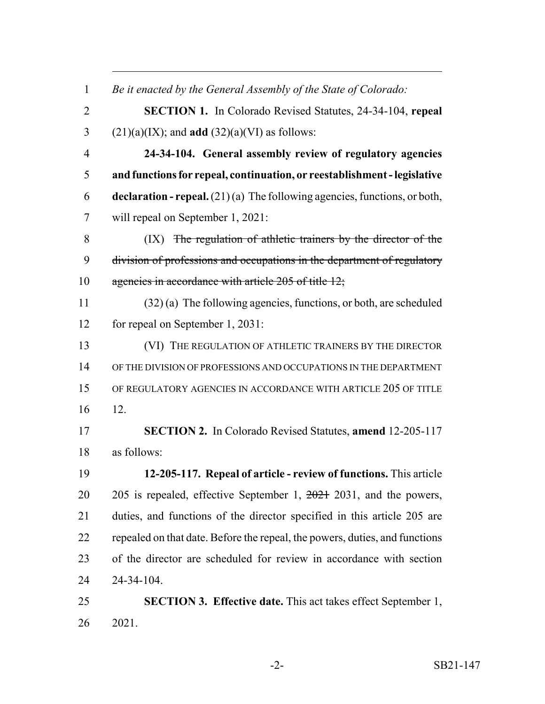| $\mathbf{1}$   | Be it enacted by the General Assembly of the State of Colorado:             |
|----------------|-----------------------------------------------------------------------------|
| $\overline{2}$ | <b>SECTION 1.</b> In Colorado Revised Statutes, 24-34-104, repeal           |
| 3              | $(21)(a)(IX)$ ; and <b>add</b> $(32)(a)(VI)$ as follows:                    |
| $\overline{4}$ | 24-34-104. General assembly review of regulatory agencies                   |
| 5              | and functions for repeal, continuation, or reestablishment - legislative    |
| 6              | declaration - repeal. $(21)(a)$ The following agencies, functions, or both, |
| 7              | will repeal on September 1, 2021:                                           |
| 8              | (IX) The regulation of athletic trainers by the director of the             |
| 9              | division of professions and occupations in the department of regulatory     |
| 10             | agencies in accordance with article 205 of title 12;                        |
| 11             | $(32)$ (a) The following agencies, functions, or both, are scheduled        |
| 12             | for repeal on September 1, 2031:                                            |
| 13             | (VI) THE REGULATION OF ATHLETIC TRAINERS BY THE DIRECTOR                    |
| 14             | OF THE DIVISION OF PROFESSIONS AND OCCUPATIONS IN THE DEPARTMENT            |
| 15             | OF REGULATORY AGENCIES IN ACCORDANCE WITH ARTICLE 205 OF TITLE              |
| 16             | 12.                                                                         |
| 17             | <b>SECTION 2.</b> In Colorado Revised Statutes, amend 12-205-117            |
| 18             | as follows:                                                                 |
| 19             | 12-205-117. Repeal of article - review of functions. This article           |
| 20             | 205 is repealed, effective September 1, $2021$ 2031, and the powers,        |
| 21             | duties, and functions of the director specified in this article 205 are     |
| 22             | repealed on that date. Before the repeal, the powers, duties, and functions |
| 23             | of the director are scheduled for review in accordance with section         |
| 24             | 24-34-104.                                                                  |
| 25             | <b>SECTION 3. Effective date.</b> This act takes effect September 1,        |
| 26             | 2021.                                                                       |